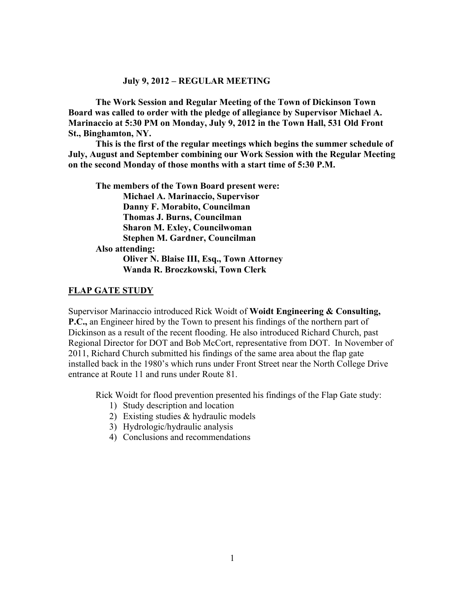#### **July 9, 2012 – REGULAR MEETING**

**The Work Session and Regular Meeting of the Town of Dickinson Town Board was called to order with the pledge of allegiance by Supervisor Michael A. Marinaccio at 5:30 PM on Monday, July 9, 2012 in the Town Hall, 531 Old Front St., Binghamton, NY.** 

**This is the first of the regular meetings which begins the summer schedule of July, August and September combining our Work Session with the Regular Meeting on the second Monday of those months with a start time of 5:30 P.M.**

**The members of the Town Board present were: Michael A. Marinaccio, Supervisor Danny F. Morabito, Councilman Thomas J. Burns, Councilman Sharon M. Exley, Councilwoman Stephen M. Gardner, Councilman Also attending: Oliver N. Blaise III, Esq., Town Attorney Wanda R. Broczkowski, Town Clerk** 

#### **FLAP GATE STUDY**

Supervisor Marinaccio introduced Rick Woidt of **Woidt Engineering & Consulting, P.C.,** an Engineer hired by the Town to present his findings of the northern part of Dickinson as a result of the recent flooding. He also introduced Richard Church, past Regional Director for DOT and Bob McCort, representative from DOT. In November of 2011, Richard Church submitted his findings of the same area about the flap gate installed back in the 1980's which runs under Front Street near the North College Drive entrance at Route 11 and runs under Route 81.

Rick Woidt for flood prevention presented his findings of the Flap Gate study:

- 1) Study description and location
- 2) Existing studies & hydraulic models
- 3) Hydrologic/hydraulic analysis
- 4) Conclusions and recommendations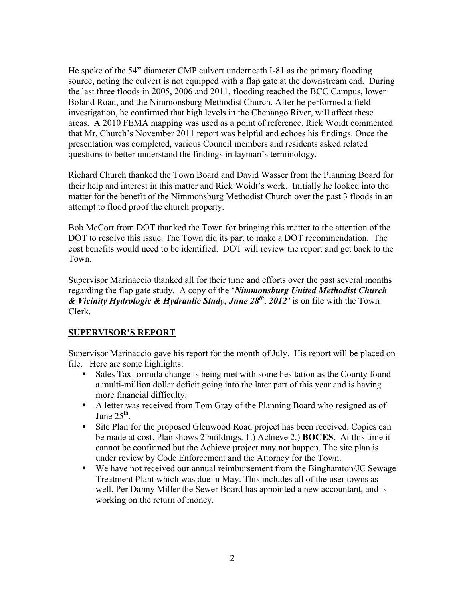He spoke of the 54" diameter CMP culvert underneath I-81 as the primary flooding source, noting the culvert is not equipped with a flap gate at the downstream end. During the last three floods in 2005, 2006 and 2011, flooding reached the BCC Campus, lower Boland Road, and the Nimmonsburg Methodist Church. After he performed a field investigation, he confirmed that high levels in the Chenango River, will affect these areas. A 2010 FEMA mapping was used as a point of reference. Rick Woidt commented that Mr. Church's November 2011 report was helpful and echoes his findings. Once the presentation was completed, various Council members and residents asked related questions to better understand the findings in layman's terminology.

Richard Church thanked the Town Board and David Wasser from the Planning Board for their help and interest in this matter and Rick Woidt's work. Initially he looked into the matter for the benefit of the Nimmonsburg Methodist Church over the past 3 floods in an attempt to flood proof the church property.

Bob McCort from DOT thanked the Town for bringing this matter to the attention of the DOT to resolve this issue. The Town did its part to make a DOT recommendation. The cost benefits would need to be identified. DOT will review the report and get back to the Town.

Supervisor Marinaccio thanked all for their time and efforts over the past several months regarding the flap gate study. A copy of the '*Nimmonsburg United Methodist Church & Vicinity Hydrologic & Hydraulic Study, June 28th, 2012'* is on file with the Town Clerk.

## **SUPERVISOR'S REPORT**

Supervisor Marinaccio gave his report for the month of July. His report will be placed on file. Here are some highlights:

- Sales Tax formula change is being met with some hesitation as the County found a multi-million dollar deficit going into the later part of this year and is having more financial difficulty.
- A letter was received from Tom Gray of the Planning Board who resigned as of June  $25<sup>th</sup>$ .
- Site Plan for the proposed Glenwood Road project has been received. Copies can be made at cost. Plan shows 2 buildings. 1.) Achieve 2.) **BOCES**. At this time it cannot be confirmed but the Achieve project may not happen. The site plan is under review by Code Enforcement and the Attorney for the Town.
- We have not received our annual reimbursement from the Binghamton/JC Sewage Treatment Plant which was due in May. This includes all of the user towns as well. Per Danny Miller the Sewer Board has appointed a new accountant, and is working on the return of money.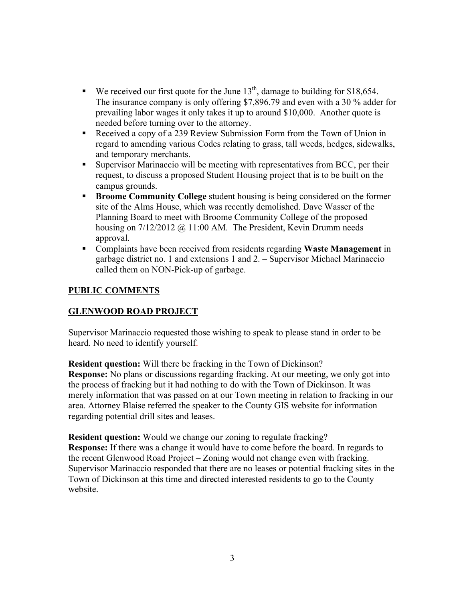- We received our first quote for the June  $13<sup>th</sup>$ , damage to building for \$18,654. The insurance company is only offering \$7,896.79 and even with a 30 % adder for prevailing labor wages it only takes it up to around \$10,000. Another quote is needed before turning over to the attorney.
- Received a copy of a 239 Review Submission Form from the Town of Union in regard to amending various Codes relating to grass, tall weeds, hedges, sidewalks, and temporary merchants.
- Supervisor Marinaccio will be meeting with representatives from BCC, per their request, to discuss a proposed Student Housing project that is to be built on the campus grounds.
- **Broome Community College** student housing is being considered on the former site of the Alms House, which was recently demolished. Dave Wasser of the Planning Board to meet with Broome Community College of the proposed housing on  $7/12/2012$  @ 11:00 AM. The President, Kevin Drumm needs approval.
- Complaints have been received from residents regarding **Waste Management** in garbage district no. 1 and extensions 1 and 2. – Supervisor Michael Marinaccio called them on NON-Pick-up of garbage.

## **PUBLIC COMMENTS**

## **GLENWOOD ROAD PROJECT**

Supervisor Marinaccio requested those wishing to speak to please stand in order to be heard. No need to identify yourself.

**Resident question:** Will there be fracking in the Town of Dickinson? **Response:** No plans or discussions regarding fracking. At our meeting, we only got into the process of fracking but it had nothing to do with the Town of Dickinson. It was merely information that was passed on at our Town meeting in relation to fracking in our area. Attorney Blaise referred the speaker to the County GIS website for information regarding potential drill sites and leases.

**Resident question:** Would we change our zoning to regulate fracking? **Response:** If there was a change it would have to come before the board. In regards to the recent Glenwood Road Project – Zoning would not change even with fracking. Supervisor Marinaccio responded that there are no leases or potential fracking sites in the Town of Dickinson at this time and directed interested residents to go to the County website.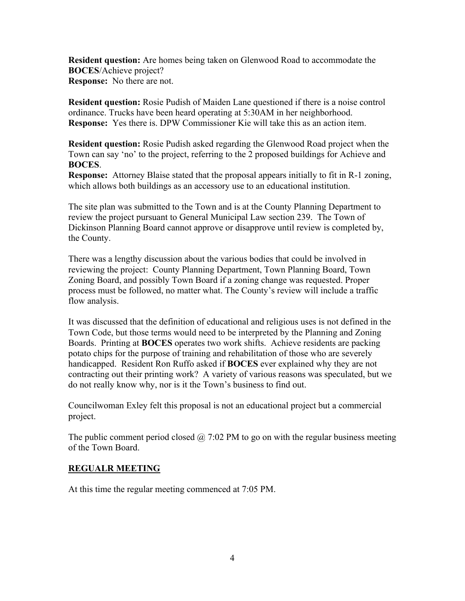**Resident question:** Are homes being taken on Glenwood Road to accommodate the **BOCES**/Achieve project? **Response:** No there are not.

**Resident question:** Rosie Pudish of Maiden Lane questioned if there is a noise control ordinance. Trucks have been heard operating at 5:30AM in her neighborhood. **Response:** Yes there is. DPW Commissioner Kie will take this as an action item.

**Resident question:** Rosie Pudish asked regarding the Glenwood Road project when the Town can say 'no' to the project, referring to the 2 proposed buildings for Achieve and **BOCES**.

**Response:** Attorney Blaise stated that the proposal appears initially to fit in R-1 zoning, which allows both buildings as an accessory use to an educational institution.

The site plan was submitted to the Town and is at the County Planning Department to review the project pursuant to General Municipal Law section 239. The Town of Dickinson Planning Board cannot approve or disapprove until review is completed by, the County.

There was a lengthy discussion about the various bodies that could be involved in reviewing the project: County Planning Department, Town Planning Board, Town Zoning Board, and possibly Town Board if a zoning change was requested. Proper process must be followed, no matter what. The County's review will include a traffic flow analysis.

It was discussed that the definition of educational and religious uses is not defined in the Town Code, but those terms would need to be interpreted by the Planning and Zoning Boards. Printing at **BOCES** operates two work shifts. Achieve residents are packing potato chips for the purpose of training and rehabilitation of those who are severely handicapped. Resident Ron Ruffo asked if **BOCES** ever explained why they are not contracting out their printing work? A variety of various reasons was speculated, but we do not really know why, nor is it the Town's business to find out.

Councilwoman Exley felt this proposal is not an educational project but a commercial project.

The public comment period closed  $\omega$  7:02 PM to go on with the regular business meeting of the Town Board.

## **REGUALR MEETING**

At this time the regular meeting commenced at 7:05 PM.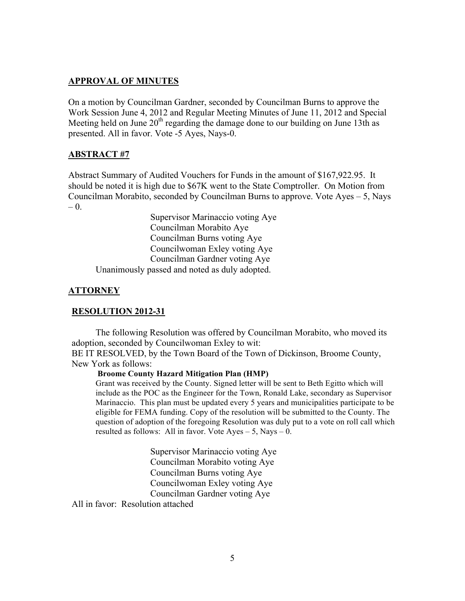#### **APPROVAL OF MINUTES**

On a motion by Councilman Gardner, seconded by Councilman Burns to approve the Work Session June 4, 2012 and Regular Meeting Minutes of June 11, 2012 and Special Meeting held on June  $20<sup>th</sup>$  regarding the damage done to our building on June 13th as presented. All in favor. Vote -5 Ayes, Nays-0.

#### **ABSTRACT #7**

Abstract Summary of Audited Vouchers for Funds in the amount of \$167,922.95. It should be noted it is high due to \$67K went to the State Comptroller. On Motion from Councilman Morabito, seconded by Councilman Burns to approve. Vote Ayes – 5, Nays  $- 0.$ 

Supervisor Marinaccio voting Aye Councilman Morabito Aye Councilman Burns voting Aye Councilwoman Exley voting Aye Councilman Gardner voting Aye Unanimously passed and noted as duly adopted.

#### **ATTORNEY**

#### **RESOLUTION 2012-31**

The following Resolution was offered by Councilman Morabito, who moved its adoption, seconded by Councilwoman Exley to wit: BE IT RESOLVED, by the Town Board of the Town of Dickinson, Broome County, New York as follows:

#### **Broome County Hazard Mitigation Plan (HMP)**

Grant was received by the County. Signed letter will be sent to Beth Egitto which will include as the POC as the Engineer for the Town, Ronald Lake, secondary as Supervisor Marinaccio. This plan must be updated every 5 years and municipalities participate to be eligible for FEMA funding. Copy of the resolution will be submitted to the County. The question of adoption of the foregoing Resolution was duly put to a vote on roll call which resulted as follows: All in favor. Vote  $Ayes - 5$ , Nays  $- 0$ .

> Supervisor Marinaccio voting Aye Councilman Morabito voting Aye Councilman Burns voting Aye Councilwoman Exley voting Aye Councilman Gardner voting Aye

All in favor: Resolution attached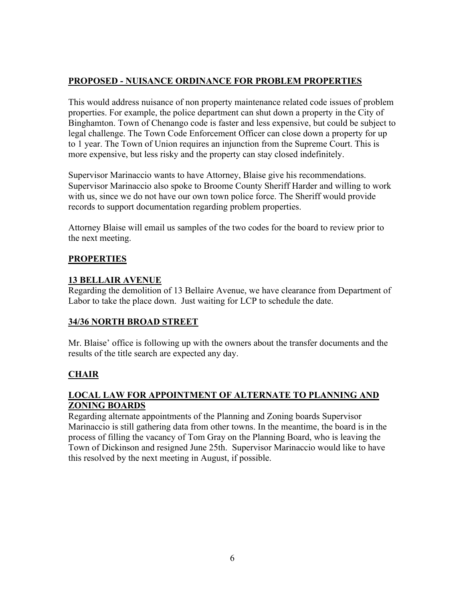# **PROPOSED - NUISANCE ORDINANCE FOR PROBLEM PROPERTIES**

This would address nuisance of non property maintenance related code issues of problem properties. For example, the police department can shut down a property in the City of Binghamton. Town of Chenango code is faster and less expensive, but could be subject to legal challenge. The Town Code Enforcement Officer can close down a property for up to 1 year. The Town of Union requires an injunction from the Supreme Court. This is more expensive, but less risky and the property can stay closed indefinitely.

Supervisor Marinaccio wants to have Attorney, Blaise give his recommendations. Supervisor Marinaccio also spoke to Broome County Sheriff Harder and willing to work with us, since we do not have our own town police force. The Sheriff would provide records to support documentation regarding problem properties.

Attorney Blaise will email us samples of the two codes for the board to review prior to the next meeting.

# **PROPERTIES**

# **13 BELLAIR AVENUE**

Regarding the demolition of 13 Bellaire Avenue, we have clearance from Department of Labor to take the place down. Just waiting for LCP to schedule the date.

# **34/36 NORTH BROAD STREET**

Mr. Blaise' office is following up with the owners about the transfer documents and the results of the title search are expected any day.

# **CHAIR**

## **LOCAL LAW FOR APPOINTMENT OF ALTERNATE TO PLANNING AND ZONING BOARDS**

Regarding alternate appointments of the Planning and Zoning boards Supervisor Marinaccio is still gathering data from other towns. In the meantime, the board is in the process of filling the vacancy of Tom Gray on the Planning Board, who is leaving the Town of Dickinson and resigned June 25th. Supervisor Marinaccio would like to have this resolved by the next meeting in August, if possible.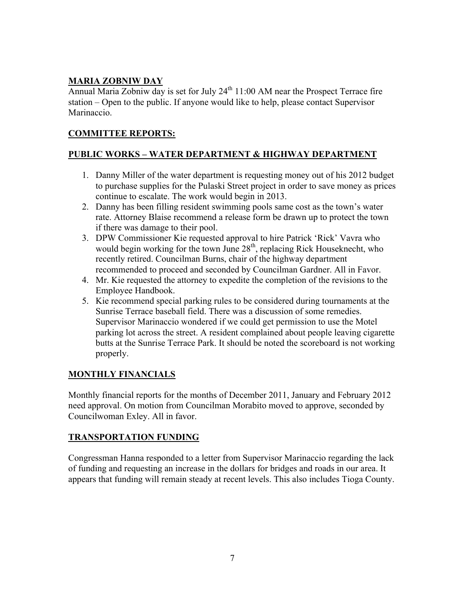# **MARIA ZOBNIW DAY**

Annual Maria Zobniw day is set for July  $24<sup>th</sup> 11:00$  AM near the Prospect Terrace fire station – Open to the public. If anyone would like to help, please contact Supervisor Marinaccio.

## **COMMITTEE REPORTS:**

## **PUBLIC WORKS – WATER DEPARTMENT & HIGHWAY DEPARTMENT**

- 1. Danny Miller of the water department is requesting money out of his 2012 budget to purchase supplies for the Pulaski Street project in order to save money as prices continue to escalate. The work would begin in 2013.
- 2. Danny has been filling resident swimming pools same cost as the town's water rate. Attorney Blaise recommend a release form be drawn up to protect the town if there was damage to their pool.
- 3. DPW Commissioner Kie requested approval to hire Patrick 'Rick' Vavra who would begin working for the town June  $28<sup>th</sup>$ , replacing Rick Houseknecht, who recently retired. Councilman Burns, chair of the highway department recommended to proceed and seconded by Councilman Gardner. All in Favor.
- 4. Mr. Kie requested the attorney to expedite the completion of the revisions to the Employee Handbook.
- 5. Kie recommend special parking rules to be considered during tournaments at the Sunrise Terrace baseball field. There was a discussion of some remedies. Supervisor Marinaccio wondered if we could get permission to use the Motel parking lot across the street. A resident complained about people leaving cigarette butts at the Sunrise Terrace Park. It should be noted the scoreboard is not working properly.

## **MONTHLY FINANCIALS**

Monthly financial reports for the months of December 2011, January and February 2012 need approval. On motion from Councilman Morabito moved to approve, seconded by Councilwoman Exley. All in favor.

## **TRANSPORTATION FUNDING**

Congressman Hanna responded to a letter from Supervisor Marinaccio regarding the lack of funding and requesting an increase in the dollars for bridges and roads in our area. It appears that funding will remain steady at recent levels. This also includes Tioga County.